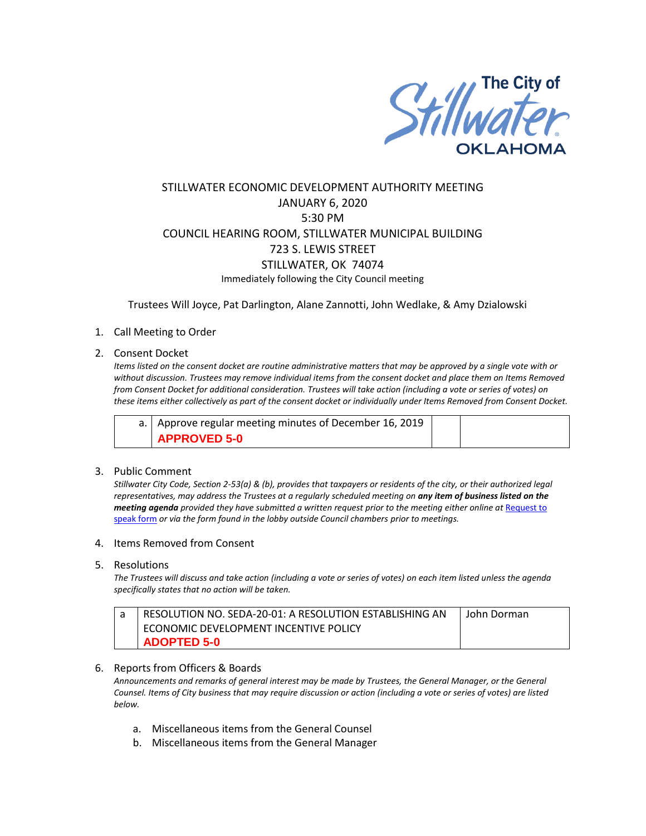

# STILLWATER ECONOMIC DEVELOPMENT AUTHORITY MEETING JANUARY 6, 2020 5:30 PM COUNCIL HEARING ROOM, STILLWATER MUNICIPAL BUILDING 723 S. LEWIS STREET STILLWATER, OK 74074 Immediately following the City Council meeting

Trustees Will Joyce, Pat Darlington, Alane Zannotti, John Wedlake, & Amy Dzialowski

## 1. Call Meeting to Order

### 2. Consent Docket

*Items listed on the consent docket are routine administrative matters that may be approved by a single vote with or without discussion. Trustees may remove individual items from the consent docket and place them on Items Removed from Consent Docket for additional consideration. Trustees will take action (including a vote or series of votes) on these items either collectively as part of the consent docket or individually under Items Removed from Consent Docket.*

| a.   Approve regular meeting minutes of December 16, 2019 |  |
|-----------------------------------------------------------|--|
| <b>APPROVED 5-0</b>                                       |  |

### 3. Public Comment

*Stillwater City Code, Section 2-53(a) & (b), provides that taxpayers or residents of the city, or their authorized legal representatives, may address the Trustees at a regularly scheduled meeting on any item of business listed on the meeting agenda provided they have submitted a written request prior to the meeting either online at* [Request to](http://stillwater.org/page/home/government/mayor-city-council/meetings-agendas-minutes/online-request-to-speak-at-city-council)  [speak form](http://stillwater.org/page/home/government/mayor-city-council/meetings-agendas-minutes/online-request-to-speak-at-city-council) *or via the form found in the lobby outside Council chambers prior to meetings.*

- 4. Items Removed from Consent
- 5. Resolutions

*The Trustees will discuss and take action (including a vote or series of votes) on each item listed unless the agenda specifically states that no action will be taken.*

| RESOLUTION NO. SEDA-20-01: A RESOLUTION ESTABLISHING AN | John Dorman |
|---------------------------------------------------------|-------------|
| ECONOMIC DEVELOPMENT INCENTIVE POLICY                   |             |
| <b>ADOPTED 5-0</b>                                      |             |

### 6. Reports from Officers & Boards

*Announcements and remarks of general interest may be made by Trustees, the General Manager, or the General Counsel. Items of City business that may require discussion or action (including a vote or series of votes) are listed below.*

- a. Miscellaneous items from the General Counsel
- b. Miscellaneous items from the General Manager